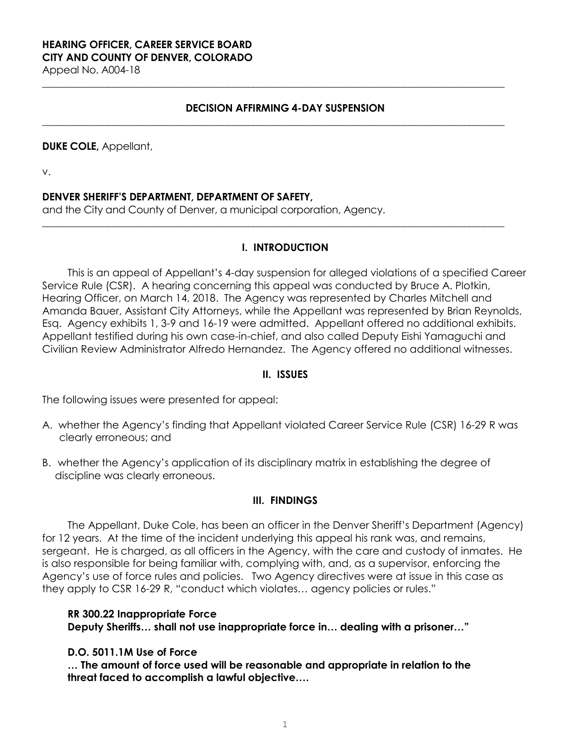# **HEARING OFFICER, CAREER SERVICE BOARD CITY AND COUNTY OF DENVER, COLORADO**

Appeal No. A004-18

### **DECISION AFFIRMING 4-DAY SUSPENSION**

**\_\_\_\_\_\_\_\_\_\_\_\_\_\_\_\_\_\_\_\_\_\_\_\_\_\_\_\_\_\_\_\_\_\_\_\_\_\_\_\_\_\_\_\_\_\_\_\_\_\_\_\_\_\_\_\_\_\_\_\_\_\_\_\_\_\_\_\_\_\_\_\_\_\_\_\_\_\_\_\_\_\_\_\_\_\_\_\_\_\_\_\_**

**\_\_\_\_\_\_\_\_\_\_\_\_\_\_\_\_\_\_\_\_\_\_\_\_\_\_\_\_\_\_\_\_\_\_\_\_\_\_\_\_\_\_\_\_\_\_\_\_\_\_\_\_\_\_\_\_\_\_\_\_\_\_\_\_\_\_\_\_\_\_\_\_\_\_\_\_\_\_\_\_\_\_\_\_\_\_\_\_\_\_\_\_**

#### **DUKE COLE,** Appellant,

v.

#### **DENVER SHERIFF'S DEPARTMENT, DEPARTMENT OF SAFETY,**

and the City and County of Denver, a municipal corporation, Agency.

### **I. INTRODUCTION**

**\_\_\_\_\_\_\_\_\_\_\_\_\_\_\_\_\_\_\_\_\_\_\_\_\_\_\_\_\_\_\_\_\_\_\_\_\_\_\_\_\_\_\_\_\_\_\_\_\_\_\_\_\_\_\_\_\_\_\_\_\_\_\_\_\_\_\_\_\_\_\_\_\_\_\_\_\_\_\_\_\_\_\_\_\_\_\_\_\_\_\_\_**

This is an appeal of Appellant's 4-day suspension for alleged violations of a specified Career Service Rule (CSR). A hearing concerning this appeal was conducted by Bruce A. Plotkin, Hearing Officer, on March 14, 2018. The Agency was represented by Charles Mitchell and Amanda Bauer, Assistant City Attorneys, while the Appellant was represented by Brian Reynolds, Esq. Agency exhibits 1, 3-9 and 16-19 were admitted. Appellant offered no additional exhibits. Appellant testified during his own case-in-chief, and also called Deputy Eishi Yamaguchi and Civilian Review Administrator Alfredo Hernandez. The Agency offered no additional witnesses.

#### **II. ISSUES**

The following issues were presented for appeal:

- A. whether the Agency's finding that Appellant violated Career Service Rule (CSR) 16-29 R was clearly erroneous; and
- B. whether the Agency's application of its disciplinary matrix in establishing the degree of discipline was clearly erroneous.

#### **III. FINDINGS**

The Appellant, Duke Cole, has been an officer in the Denver Sheriff's Department (Agency) for 12 years. At the time of the incident underlying this appeal his rank was, and remains, sergeant. He is charged, as all officers in the Agency, with the care and custody of inmates. He is also responsible for being familiar with, complying with, and, as a supervisor, enforcing the Agency's use of force rules and policies. Two Agency directives were at issue in this case as they apply to CSR 16-29 R, "conduct which violates… agency policies or rules."

#### **RR 300.22 Inappropriate Force**

**Deputy Sheriffs… shall not use inappropriate force in… dealing with a prisoner…"** 

#### **D.O. 5011.1M Use of Force**

**… The amount of force used will be reasonable and appropriate in relation to the threat faced to accomplish a lawful objective….**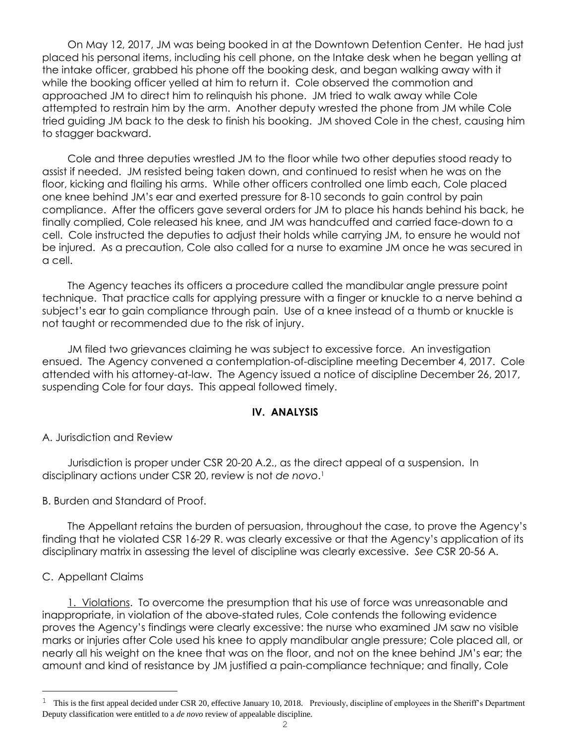On May 12, 2017, JM was being booked in at the Downtown Detention Center. He had just placed his personal items, including his cell phone, on the Intake desk when he began yelling at the intake officer, grabbed his phone off the booking desk, and began walking away with it while the booking officer yelled at him to return it. Cole observed the commotion and approached JM to direct him to relinquish his phone. JM tried to walk away while Cole attempted to restrain him by the arm. Another deputy wrested the phone from JM while Cole tried guiding JM back to the desk to finish his booking. JM shoved Cole in the chest, causing him to stagger backward.

Cole and three deputies wrestled JM to the floor while two other deputies stood ready to assist if needed. JM resisted being taken down, and continued to resist when he was on the floor, kicking and flailing his arms. While other officers controlled one limb each, Cole placed one knee behind JM's ear and exerted pressure for 8-10 seconds to gain control by pain compliance. After the officers gave several orders for JM to place his hands behind his back, he finally complied, Cole released his knee, and JM was handcuffed and carried face-down to a cell. Cole instructed the deputies to adjust their holds while carrying JM, to ensure he would not be injured. As a precaution, Cole also called for a nurse to examine JM once he was secured in a cell.

The Agency teaches its officers a procedure called the mandibular angle pressure point technique. That practice calls for applying pressure with a finger or knuckle to a nerve behind a subject's ear to gain compliance through pain. Use of a knee instead of a thumb or knuckle is not taught or recommended due to the risk of injury.

JM filed two grievances claiming he was subject to excessive force. An investigation ensued. The Agency convened a contemplation-of-discipline meeting December 4, 2017. Cole attended with his attorney-at-law. The Agency issued a notice of discipline December 26, 2017, suspending Cole for four days. This appeal followed timely.

#### **IV. ANALYSIS**

### A. Jurisdiction and Review

Jurisdiction is proper under CSR 20-20 A.2., as the direct appeal of a suspension. In disciplinary actions under CSR 20, review is not *de novo*. 1

B. Burden and Standard of Proof.

The Appellant retains the burden of persuasion, throughout the case, to prove the Agency's finding that he violated CSR 16-29 R. was clearly excessive or that the Agency's application of its disciplinary matrix in assessing the level of discipline was clearly excessive. *See* CSR 20-56 A.

### C. Appellant Claims

<u>.</u>

1. Violations. To overcome the presumption that his use of force was unreasonable and inappropriate, in violation of the above-stated rules, Cole contends the following evidence proves the Agency's findings were clearly excessive: the nurse who examined JM saw no visible marks or injuries after Cole used his knee to apply mandibular angle pressure; Cole placed all, or nearly all his weight on the knee that was on the floor, and not on the knee behind JM's ear; the amount and kind of resistance by JM justified a pain-compliance technique; and finally, Cole

 $1$  This is the first appeal decided under CSR 20, effective January 10, 2018. Previously, discipline of employees in the Sheriff's Department Deputy classification were entitled to a *de novo* review of appealable discipline.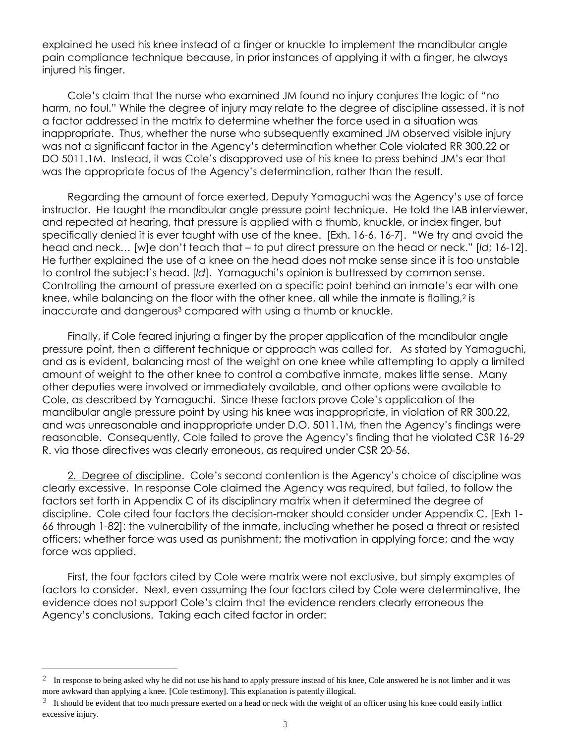explained he used his knee instead of a finger or knuckle to implement the mandibular angle pain compliance technique because, in prior instances of applying it with a finger, he always injured his finger.

Cole's claim that the nurse who examined JM found no injury conjures the logic of "no harm, no foul." While the degree of injury may relate to the degree of discipline assessed, it is not a factor addressed in the matrix to determine whether the force used in a situation was inappropriate. Thus, whether the nurse who subsequently examined JM observed visible injury was not a significant factor in the Agency's determination whether Cole violated RR 300.22 or DO 5011.1M. Instead, it was Cole's disapproved use of his knee to press behind JM's ear that was the appropriate focus of the Agency's determination, rather than the result.

Regarding the amount of force exerted, Deputy Yamaguchi was the Agency's use of force instructor. He taught the mandibular angle pressure point technique. He told the IAB interviewer, and repeated at hearing, that pressure is applied with a thumb, knuckle, or index finger, but specifically denied it is ever taught with use of the knee. [Exh. 16-6, 16-7]. "We try and avoid the head and neck… [w]e don't teach that – to put direct pressure on the head or neck." [*Id*; 16-12]. He further explained the use of a knee on the head does not make sense since it is too unstable to control the subject's head. [*Id*]. Yamaguchi's opinion is buttressed by common sense. Controlling the amount of pressure exerted on a specific point behind an inmate's ear with one knee, while balancing on the floor with the other knee, all while the inmate is flailing, $^2$  is inaccurate and dangerous<sup>3</sup> compared with using a thumb or knuckle.

Finally, if Cole feared injuring a finger by the proper application of the mandibular angle pressure point, then a different technique or approach was called for. As stated by Yamaguchi, and as is evident, balancing most of the weight on one knee while attempting to apply a limited amount of weight to the other knee to control a combative inmate, makes little sense. Many other deputies were involved or immediately available, and other options were available to Cole, as described by Yamaguchi. Since these factors prove Cole's application of the mandibular angle pressure point by using his knee was inappropriate, in violation of RR 300.22, and was unreasonable and inappropriate under D.O. 5011.1M, then the Agency's findings were reasonable. Consequently, Cole failed to prove the Agency's finding that he violated CSR 16-29 R. via those directives was clearly erroneous, as required under CSR 20-56.

2. Degree of discipline. Cole's second contention is the Agency's choice of discipline was clearly excessive. In response Cole claimed the Agency was required, but failed, to follow the factors set forth in Appendix C of its disciplinary matrix when it determined the degree of discipline. Cole cited four factors the decision-maker should consider under Appendix C. [Exh 1- 66 through 1-82]: the vulnerability of the inmate, including whether he posed a threat or resisted officers; whether force was used as punishment; the motivation in applying force; and the way force was applied.

First, the four factors cited by Cole were matrix were not exclusive, but simply examples of factors to consider. Next, even assuming the four factors cited by Cole were determinative, the evidence does not support Cole's claim that the evidence renders clearly erroneous the Agency's conclusions. Taking each cited factor in order:

L,

<sup>2</sup> In response to being asked why he did not use his hand to apply pressure instead of his knee, Cole answered he is not limber and it was more awkward than applying a knee. [Cole testimony]. This explanation is patently illogical.

 $3\,$  It should be evident that too much pressure exerted on a head or neck with the weight of an officer using his knee could easily inflict excessive injury.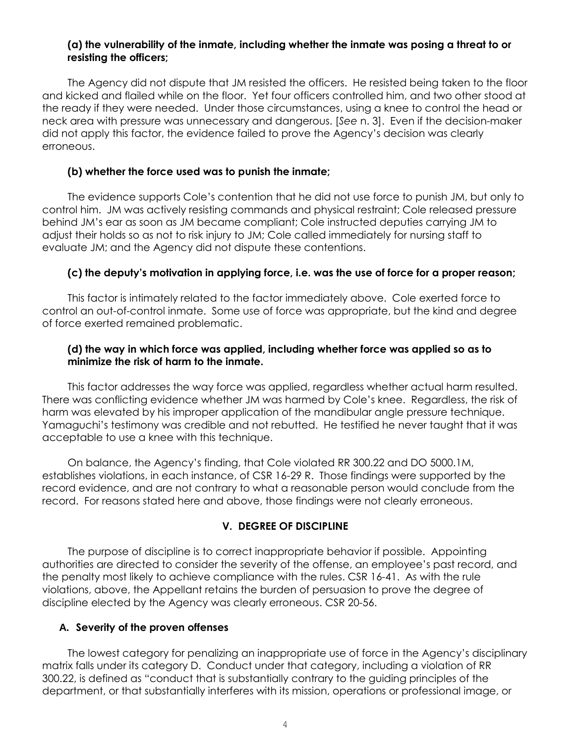## **(a) the vulnerability of the inmate, including whether the inmate was posing a threat to or resisting the officers;**

The Agency did not dispute that JM resisted the officers. He resisted being taken to the floor and kicked and flailed while on the floor. Yet four officers controlled him, and two other stood at the ready if they were needed. Under those circumstances, using a knee to control the head or neck area with pressure was unnecessary and dangerous. [*See* n. 3]. Even if the decision-maker did not apply this factor, the evidence failed to prove the Agency's decision was clearly erroneous.

## **(b) whether the force used was to punish the inmate;**

The evidence supports Cole's contention that he did not use force to punish JM, but only to control him. JM was actively resisting commands and physical restraint; Cole released pressure behind JM's ear as soon as JM became compliant; Cole instructed deputies carrying JM to adjust their holds so as not to risk injury to JM; Cole called immediately for nursing staff to evaluate JM; and the Agency did not dispute these contentions.

# **(c) the deputy's motivation in applying force, i.e. was the use of force for a proper reason;**

This factor is intimately related to the factor immediately above. Cole exerted force to control an out-of-control inmate. Some use of force was appropriate, but the kind and degree of force exerted remained problematic.

# **(d) the way in which force was applied, including whether force was applied so as to minimize the risk of harm to the inmate.**

This factor addresses the way force was applied, regardless whether actual harm resulted. There was conflicting evidence whether JM was harmed by Cole's knee. Regardless, the risk of harm was elevated by his improper application of the mandibular angle pressure technique. Yamaguchi's testimony was credible and not rebutted. He testified he never taught that it was acceptable to use a knee with this technique.

On balance, the Agency's finding, that Cole violated RR 300.22 and DO 5000.1M, establishes violations, in each instance, of CSR 16-29 R. Those findings were supported by the record evidence, and are not contrary to what a reasonable person would conclude from the record. For reasons stated here and above, those findings were not clearly erroneous.

# **V. DEGREE OF DISCIPLINE**

The purpose of discipline is to correct inappropriate behavior if possible. Appointing authorities are directed to consider the severity of the offense, an employee's past record, and the penalty most likely to achieve compliance with the rules. CSR 16-41. As with the rule violations, above, the Appellant retains the burden of persuasion to prove the degree of discipline elected by the Agency was clearly erroneous. CSR 20-56.

### **A. Severity of the proven offenses**

The lowest category for penalizing an inappropriate use of force in the Agency's disciplinary matrix falls under its category D. Conduct under that category, including a violation of RR 300.22, is defined as "conduct that is substantially contrary to the guiding principles of the department, or that substantially interferes with its mission, operations or professional image, or